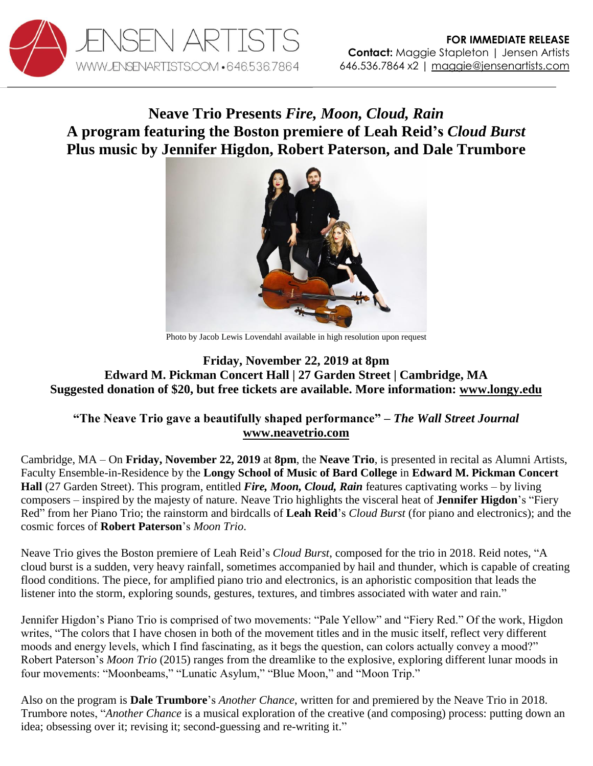

## **Neave Trio Presents** *Fire, Moon, Cloud, Rain*  **A program featuring the Boston premiere of Leah Reid's** *Cloud Burst* **Plus music by Jennifer Higdon, Robert Paterson, and Dale Trumbore**



Photo by Jacob Lewis Lovendahl available in high resolution upon request

## **Friday, November 22, 2019 at 8pm Edward M. Pickman Concert Hall | 27 Garden Street | Cambridge, MA Suggested donation of \$20, but free tickets are available. More information: [www.longy.edu](http://longy.edu/event/11-22-19-neave-trio-fire-moon-cloud-rain-alumni-artists-faculty-ensemble-in-residence/)**

## **"The Neave Trio gave a beautifully shaped performance"** *– The Wall Street Journal* **[www.neavetrio.com](http://www.neavetrio.com/)**

Cambridge, MA – On **Friday, November 22, 2019** at **8pm**, the **Neave Trio**, is presented in recital as Alumni Artists, Faculty Ensemble-in-Residence by the **Longy School of Music of Bard College** in **Edward M. Pickman Concert Hall** (27 Garden Street). This program, entitled *Fire, Moon, Cloud, Rain* features captivating works – by living composers – inspired by the majesty of nature. Neave Trio highlights the visceral heat of **Jennifer Higdon**'s "Fiery Red" from her Piano Trio; the rainstorm and birdcalls of **Leah Reid**'s *Cloud Burst* (for piano and electronics); and the cosmic forces of **Robert Paterson**'s *Moon Trio*.

Neave Trio gives the Boston premiere of Leah Reid's *Cloud Burst*, composed for the trio in 2018. Reid notes, "A cloud burst is a sudden, very heavy rainfall, sometimes accompanied by hail and thunder, which is capable of creating flood conditions. The piece, for amplified piano trio and electronics, is an aphoristic composition that leads the listener into the storm, exploring sounds, gestures, textures, and timbres associated with water and rain."

Jennifer Higdon's Piano Trio is comprised of two movements: "Pale Yellow" and "Fiery Red." Of the work, Higdon writes, "The colors that I have chosen in both of the movement titles and in the music itself, reflect very different moods and energy levels, which I find fascinating, as it begs the question, can colors actually convey a mood?" Robert Paterson's *Moon Trio* (2015) ranges from the dreamlike to the explosive, exploring different lunar moods in four movements: "Moonbeams," "Lunatic Asylum," "Blue Moon," and "Moon Trip."

Also on the program is **Dale Trumbore**'s *Another Chance*, written for and premiered by the Neave Trio in 2018. Trumbore notes, "*Another Chance* is a musical exploration of the creative (and composing) process: putting down an idea; obsessing over it; revising it; second-guessing and re-writing it."